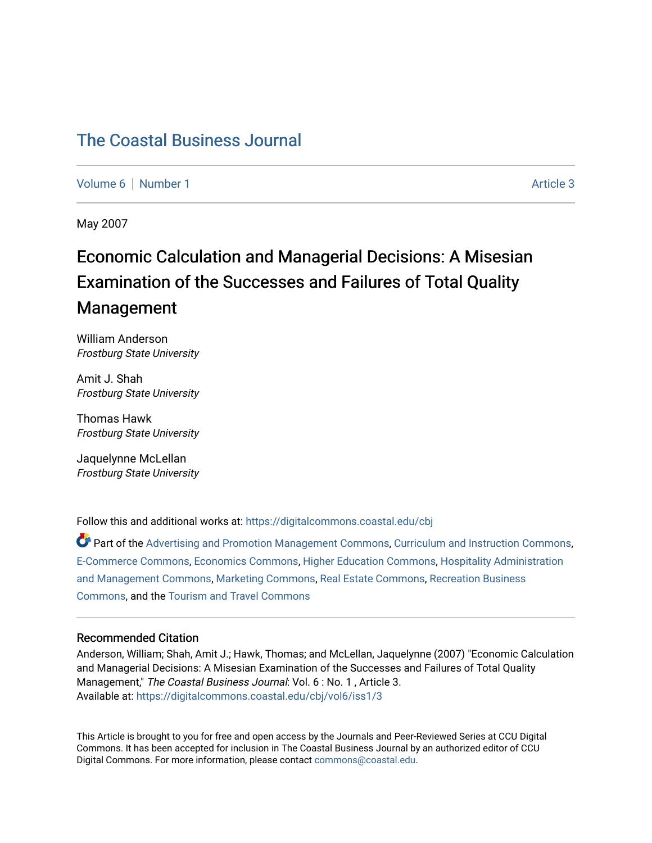## [The Coastal Business Journal](https://digitalcommons.coastal.edu/cbj)

[Volume 6](https://digitalcommons.coastal.edu/cbj/vol6) | [Number 1](https://digitalcommons.coastal.edu/cbj/vol6/iss1) Article 3

May 2007

# Economic Calculation and Managerial Decisions: A Misesian Examination of the Successes and Failures of Total Quality Management

William Anderson Frostburg State University

Amit J. Shah Frostburg State University

Thomas Hawk Frostburg State University

Jaquelynne McLellan Frostburg State University

Follow this and additional works at: [https://digitalcommons.coastal.edu/cbj](https://digitalcommons.coastal.edu/cbj?utm_source=digitalcommons.coastal.edu%2Fcbj%2Fvol6%2Fiss1%2F3&utm_medium=PDF&utm_campaign=PDFCoverPages) 

Part of the [Advertising and Promotion Management Commons,](http://network.bepress.com/hgg/discipline/626?utm_source=digitalcommons.coastal.edu%2Fcbj%2Fvol6%2Fiss1%2F3&utm_medium=PDF&utm_campaign=PDFCoverPages) [Curriculum and Instruction Commons,](http://network.bepress.com/hgg/discipline/786?utm_source=digitalcommons.coastal.edu%2Fcbj%2Fvol6%2Fiss1%2F3&utm_medium=PDF&utm_campaign=PDFCoverPages) [E-Commerce Commons,](http://network.bepress.com/hgg/discipline/624?utm_source=digitalcommons.coastal.edu%2Fcbj%2Fvol6%2Fiss1%2F3&utm_medium=PDF&utm_campaign=PDFCoverPages) [Economics Commons](http://network.bepress.com/hgg/discipline/340?utm_source=digitalcommons.coastal.edu%2Fcbj%2Fvol6%2Fiss1%2F3&utm_medium=PDF&utm_campaign=PDFCoverPages), [Higher Education Commons](http://network.bepress.com/hgg/discipline/1245?utm_source=digitalcommons.coastal.edu%2Fcbj%2Fvol6%2Fiss1%2F3&utm_medium=PDF&utm_campaign=PDFCoverPages), [Hospitality Administration](http://network.bepress.com/hgg/discipline/632?utm_source=digitalcommons.coastal.edu%2Fcbj%2Fvol6%2Fiss1%2F3&utm_medium=PDF&utm_campaign=PDFCoverPages) [and Management Commons,](http://network.bepress.com/hgg/discipline/632?utm_source=digitalcommons.coastal.edu%2Fcbj%2Fvol6%2Fiss1%2F3&utm_medium=PDF&utm_campaign=PDFCoverPages) [Marketing Commons](http://network.bepress.com/hgg/discipline/638?utm_source=digitalcommons.coastal.edu%2Fcbj%2Fvol6%2Fiss1%2F3&utm_medium=PDF&utm_campaign=PDFCoverPages), [Real Estate Commons](http://network.bepress.com/hgg/discipline/641?utm_source=digitalcommons.coastal.edu%2Fcbj%2Fvol6%2Fiss1%2F3&utm_medium=PDF&utm_campaign=PDFCoverPages), [Recreation Business](http://network.bepress.com/hgg/discipline/1083?utm_source=digitalcommons.coastal.edu%2Fcbj%2Fvol6%2Fiss1%2F3&utm_medium=PDF&utm_campaign=PDFCoverPages) [Commons](http://network.bepress.com/hgg/discipline/1083?utm_source=digitalcommons.coastal.edu%2Fcbj%2Fvol6%2Fiss1%2F3&utm_medium=PDF&utm_campaign=PDFCoverPages), and the [Tourism and Travel Commons](http://network.bepress.com/hgg/discipline/1082?utm_source=digitalcommons.coastal.edu%2Fcbj%2Fvol6%2Fiss1%2F3&utm_medium=PDF&utm_campaign=PDFCoverPages)

#### Recommended Citation

Anderson, William; Shah, Amit J.; Hawk, Thomas; and McLellan, Jaquelynne (2007) "Economic Calculation and Managerial Decisions: A Misesian Examination of the Successes and Failures of Total Quality Management," The Coastal Business Journal: Vol. 6: No. 1, Article 3. Available at: [https://digitalcommons.coastal.edu/cbj/vol6/iss1/3](https://digitalcommons.coastal.edu/cbj/vol6/iss1/3?utm_source=digitalcommons.coastal.edu%2Fcbj%2Fvol6%2Fiss1%2F3&utm_medium=PDF&utm_campaign=PDFCoverPages)

This Article is brought to you for free and open access by the Journals and Peer-Reviewed Series at CCU Digital Commons. It has been accepted for inclusion in The Coastal Business Journal by an authorized editor of CCU Digital Commons. For more information, please contact [commons@coastal.edu](mailto:commons@coastal.edu).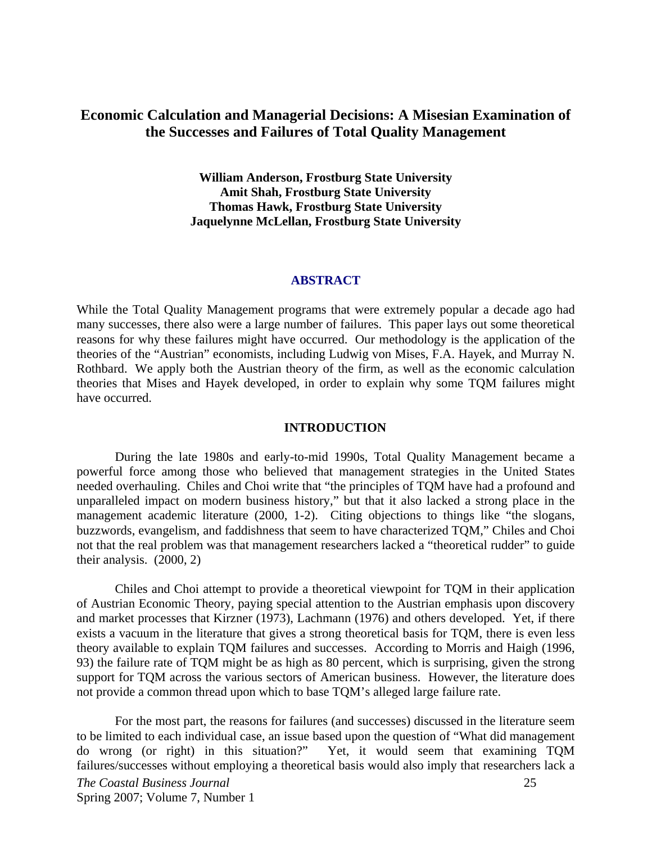## **Economic Calculation and Managerial Decisions: A Misesian Examination of the Successes and Failures of Total Quality Management**

**William Anderson, Frostburg State University Amit Shah, Frostburg State University Thomas Hawk, Frostburg State University Jaquelynne McLellan, Frostburg State University** 

#### **ABSTRACT**

While the Total Quality Management programs that were extremely popular a decade ago had many successes, there also were a large number of failures. This paper lays out some theoretical reasons for why these failures might have occurred. Our methodology is the application of the theories of the "Austrian" economists, including Ludwig von Mises, F.A. Hayek, and Murray N. Rothbard. We apply both the Austrian theory of the firm, as well as the economic calculation theories that Mises and Hayek developed, in order to explain why some TQM failures might have occurred.

#### **INTRODUCTION**

During the late 1980s and early-to-mid 1990s, Total Quality Management became a powerful force among those who believed that management strategies in the United States needed overhauling. Chiles and Choi write that "the principles of TQM have had a profound and unparalleled impact on modern business history," but that it also lacked a strong place in the management academic literature (2000, 1-2). Citing objections to things like "the slogans, buzzwords, evangelism, and faddishness that seem to have characterized TQM," Chiles and Choi not that the real problem was that management researchers lacked a "theoretical rudder" to guide their analysis. (2000, 2)

Chiles and Choi attempt to provide a theoretical viewpoint for TQM in their application of Austrian Economic Theory, paying special attention to the Austrian emphasis upon discovery and market processes that Kirzner (1973), Lachmann (1976) and others developed. Yet, if there exists a vacuum in the literature that gives a strong theoretical basis for TQM, there is even less theory available to explain TQM failures and successes. According to Morris and Haigh (1996, 93) the failure rate of TQM might be as high as 80 percent, which is surprising, given the strong support for TQM across the various sectors of American business. However, the literature does not provide a common thread upon which to base TQM's alleged large failure rate.

For the most part, the reasons for failures (and successes) discussed in the literature seem to be limited to each individual case, an issue based upon the question of "What did management do wrong (or right) in this situation?" Yet, it would seem that examining TQM failures/successes without employing a theoretical basis would also imply that researchers lack a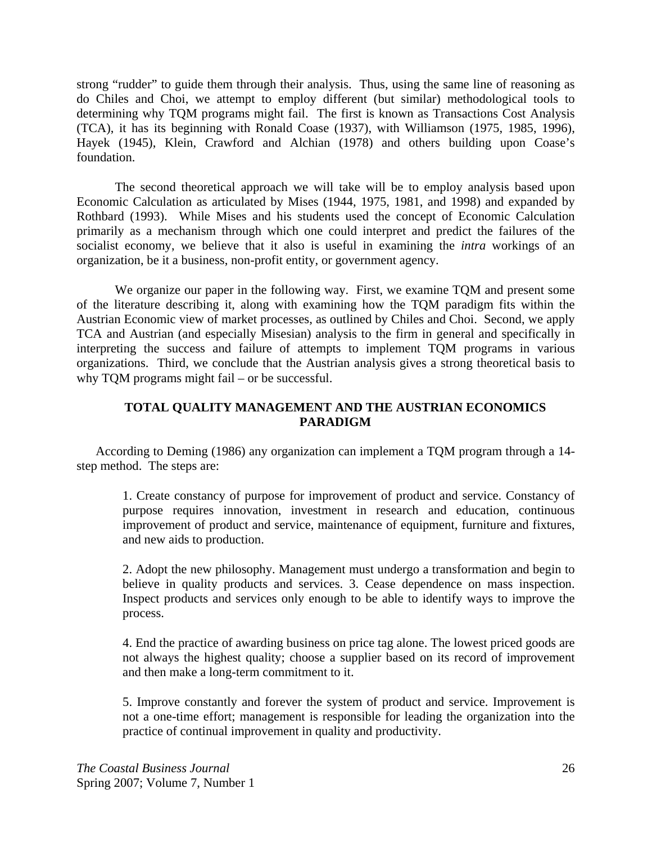strong "rudder" to guide them through their analysis. Thus, using the same line of reasoning as do Chiles and Choi, we attempt to employ different (but similar) methodological tools to determining why TQM programs might fail. The first is known as Transactions Cost Analysis (TCA), it has its beginning with Ronald Coase (1937), with Williamson (1975, 1985, 1996), Hayek (1945), Klein, Crawford and Alchian (1978) and others building upon Coase's foundation.

The second theoretical approach we will take will be to employ analysis based upon Economic Calculation as articulated by Mises (1944, 1975, 1981, and 1998) and expanded by Rothbard (1993). While Mises and his students used the concept of Economic Calculation primarily as a mechanism through which one could interpret and predict the failures of the socialist economy, we believe that it also is useful in examining the *intra* workings of an organization, be it a business, non-profit entity, or government agency.

We organize our paper in the following way. First, we examine TQM and present some of the literature describing it, along with examining how the TQM paradigm fits within the Austrian Economic view of market processes, as outlined by Chiles and Choi. Second, we apply TCA and Austrian (and especially Misesian) analysis to the firm in general and specifically in interpreting the success and failure of attempts to implement TQM programs in various organizations. Third, we conclude that the Austrian analysis gives a strong theoretical basis to why TQM programs might fail – or be successful.

## **TOTAL QUALITY MANAGEMENT AND THE AUSTRIAN ECONOMICS PARADIGM**

According to Deming (1986) any organization can implement a TQM program through a 14 step method. The steps are:

1. Create constancy of purpose for improvement of product and service. Constancy of purpose requires innovation, investment in research and education, continuous improvement of product and service, maintenance of equipment, furniture and fixtures, and new aids to production.

2. Adopt the new philosophy. Management must undergo a transformation and begin to believe in quality products and services. 3. Cease dependence on mass inspection. Inspect products and services only enough to be able to identify ways to improve the process.

4. End the practice of awarding business on price tag alone. The lowest priced goods are not always the highest quality; choose a supplier based on its record of improvement and then make a long-term commitment to it.

5. Improve constantly and forever the system of product and service. Improvement is not a one-time effort; management is responsible for leading the organization into the practice of continual improvement in quality and productivity.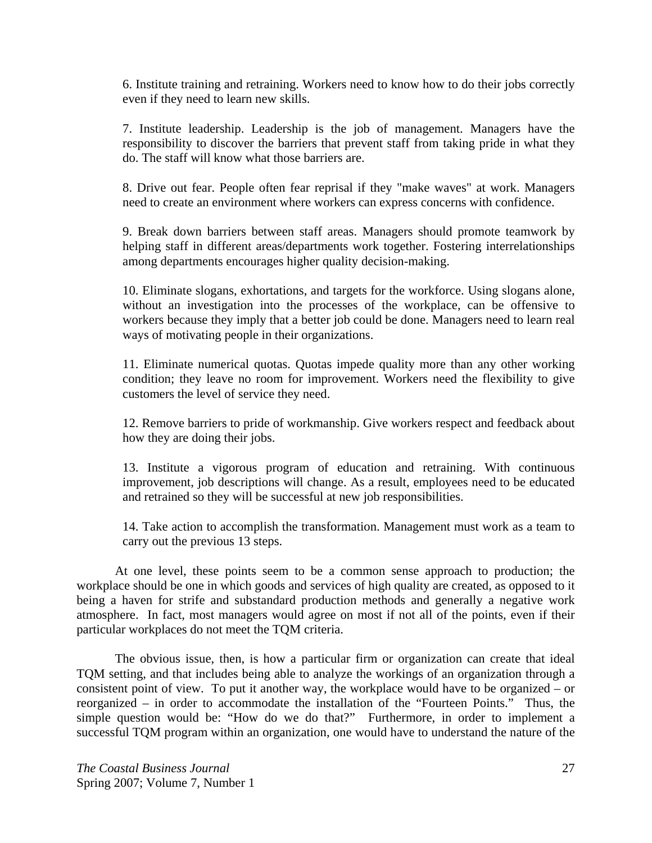6. Institute training and retraining. Workers need to know how to do their jobs correctly even if they need to learn new skills.

7. Institute leadership. Leadership is the job of management. Managers have the responsibility to discover the barriers that prevent staff from taking pride in what they do. The staff will know what those barriers are.

8. Drive out fear. People often fear reprisal if they "make waves" at work. Managers need to create an environment where workers can express concerns with confidence.

9. Break down barriers between staff areas. Managers should promote teamwork by helping staff in different areas/departments work together. Fostering interrelationships among departments encourages higher quality decision-making.

10. Eliminate slogans, exhortations, and targets for the workforce. Using slogans alone, without an investigation into the processes of the workplace, can be offensive to workers because they imply that a better job could be done. Managers need to learn real ways of motivating people in their organizations.

11. Eliminate numerical quotas. Quotas impede quality more than any other working condition; they leave no room for improvement. Workers need the flexibility to give customers the level of service they need.

12. Remove barriers to pride of workmanship. Give workers respect and feedback about how they are doing their jobs.

13. Institute a vigorous program of education and retraining. With continuous improvement, job descriptions will change. As a result, employees need to be educated and retrained so they will be successful at new job responsibilities.

14. Take action to accomplish the transformation. Management must work as a team to carry out the previous 13 steps.

 At one level, these points seem to be a common sense approach to production; the workplace should be one in which goods and services of high quality are created, as opposed to it being a haven for strife and substandard production methods and generally a negative work atmosphere. In fact, most managers would agree on most if not all of the points, even if their particular workplaces do not meet the TQM criteria.

 The obvious issue, then, is how a particular firm or organization can create that ideal TQM setting, and that includes being able to analyze the workings of an organization through a consistent point of view. To put it another way, the workplace would have to be organized – or reorganized – in order to accommodate the installation of the "Fourteen Points." Thus, the simple question would be: "How do we do that?" Furthermore, in order to implement a successful TQM program within an organization, one would have to understand the nature of the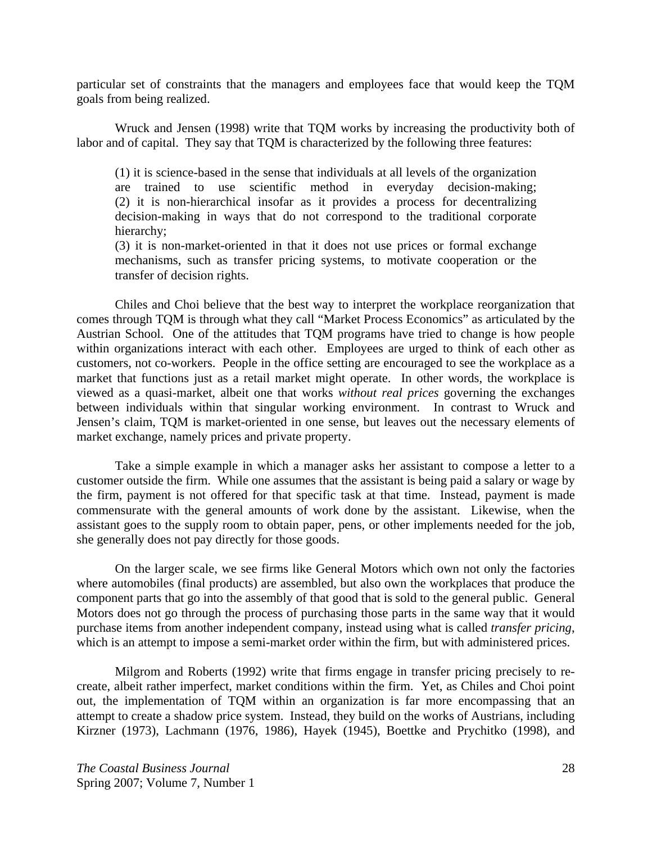particular set of constraints that the managers and employees face that would keep the TQM goals from being realized.

 Wruck and Jensen (1998) write that TQM works by increasing the productivity both of labor and of capital. They say that TQM is characterized by the following three features:

(1) it is science-based in the sense that individuals at all levels of the organization are trained to use scientific method in everyday decision-making; (2) it is non-hierarchical insofar as it provides a process for decentralizing decision-making in ways that do not correspond to the traditional corporate hierarchy;

(3) it is non-market-oriented in that it does not use prices or formal exchange mechanisms, such as transfer pricing systems, to motivate cooperation or the transfer of decision rights.

 Chiles and Choi believe that the best way to interpret the workplace reorganization that comes through TQM is through what they call "Market Process Economics" as articulated by the Austrian School. One of the attitudes that TQM programs have tried to change is how people within organizations interact with each other. Employees are urged to think of each other as customers, not co-workers. People in the office setting are encouraged to see the workplace as a market that functions just as a retail market might operate. In other words, the workplace is viewed as a quasi-market, albeit one that works *without real prices* governing the exchanges between individuals within that singular working environment. In contrast to Wruck and Jensen's claim, TQM is market-oriented in one sense, but leaves out the necessary elements of market exchange, namely prices and private property.

Take a simple example in which a manager asks her assistant to compose a letter to a customer outside the firm. While one assumes that the assistant is being paid a salary or wage by the firm, payment is not offered for that specific task at that time. Instead, payment is made commensurate with the general amounts of work done by the assistant. Likewise, when the assistant goes to the supply room to obtain paper, pens, or other implements needed for the job, she generally does not pay directly for those goods.

On the larger scale, we see firms like General Motors which own not only the factories where automobiles (final products) are assembled, but also own the workplaces that produce the component parts that go into the assembly of that good that is sold to the general public. General Motors does not go through the process of purchasing those parts in the same way that it would purchase items from another independent company, instead using what is called *transfer pricing*, which is an attempt to impose a semi-market order within the firm, but with administered prices.

 Milgrom and Roberts (1992) write that firms engage in transfer pricing precisely to recreate, albeit rather imperfect, market conditions within the firm. Yet, as Chiles and Choi point out, the implementation of TQM within an organization is far more encompassing that an attempt to create a shadow price system. Instead, they build on the works of Austrians, including Kirzner (1973), Lachmann (1976, 1986), Hayek (1945), Boettke and Prychitko (1998), and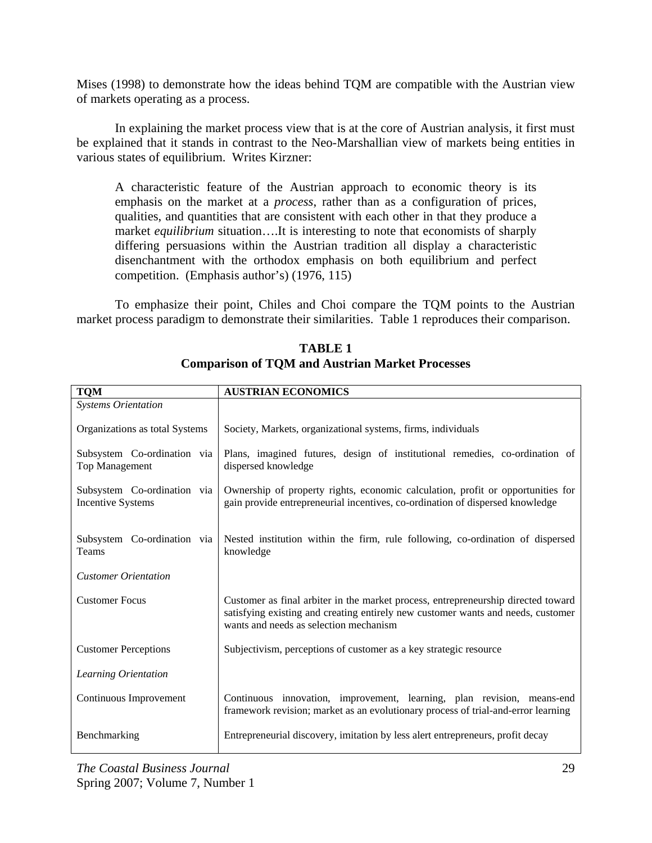Mises (1998) to demonstrate how the ideas behind TQM are compatible with the Austrian view of markets operating as a process.

 In explaining the market process view that is at the core of Austrian analysis, it first must be explained that it stands in contrast to the Neo-Marshallian view of markets being entities in various states of equilibrium. Writes Kirzner:

A characteristic feature of the Austrian approach to economic theory is its emphasis on the market at a *process*, rather than as a configuration of prices, qualities, and quantities that are consistent with each other in that they produce a market *equilibrium* situation….It is interesting to note that economists of sharply differing persuasions within the Austrian tradition all display a characteristic disenchantment with the orthodox emphasis on both equilibrium and perfect competition. (Emphasis author's) (1976, 115)

 To emphasize their point, Chiles and Choi compare the TQM points to the Austrian market process paradigm to demonstrate their similarities. Table 1 reproduces their comparison.

| <b>TQM</b>                                              | <b>AUSTRIAN ECONOMICS</b>                                                                                                                                                                                       |
|---------------------------------------------------------|-----------------------------------------------------------------------------------------------------------------------------------------------------------------------------------------------------------------|
| <b>Systems Orientation</b>                              |                                                                                                                                                                                                                 |
| Organizations as total Systems                          | Society, Markets, organizational systems, firms, individuals                                                                                                                                                    |
| Subsystem Co-ordination via<br><b>Top Management</b>    | Plans, imagined futures, design of institutional remedies, co-ordination of<br>dispersed knowledge                                                                                                              |
| Subsystem Co-ordination via<br><b>Incentive Systems</b> | Ownership of property rights, economic calculation, profit or opportunities for<br>gain provide entrepreneurial incentives, co-ordination of dispersed knowledge                                                |
| Subsystem Co-ordination via<br>Teams                    | Nested institution within the firm, rule following, co-ordination of dispersed<br>knowledge                                                                                                                     |
| <b>Customer Orientation</b>                             |                                                                                                                                                                                                                 |
| <b>Customer Focus</b>                                   | Customer as final arbiter in the market process, entrepreneurship directed toward<br>satisfying existing and creating entirely new customer wants and needs, customer<br>wants and needs as selection mechanism |
| <b>Customer Perceptions</b>                             | Subjectivism, perceptions of customer as a key strategic resource                                                                                                                                               |
| Learning Orientation                                    |                                                                                                                                                                                                                 |
| Continuous Improvement                                  | Continuous innovation, improvement, learning, plan revision, means-end<br>framework revision; market as an evolutionary process of trial-and-error learning                                                     |
| Benchmarking                                            | Entrepreneurial discovery, imitation by less alert entrepreneurs, profit decay                                                                                                                                  |

## **TABLE 1 Comparison of TQM and Austrian Market Processes**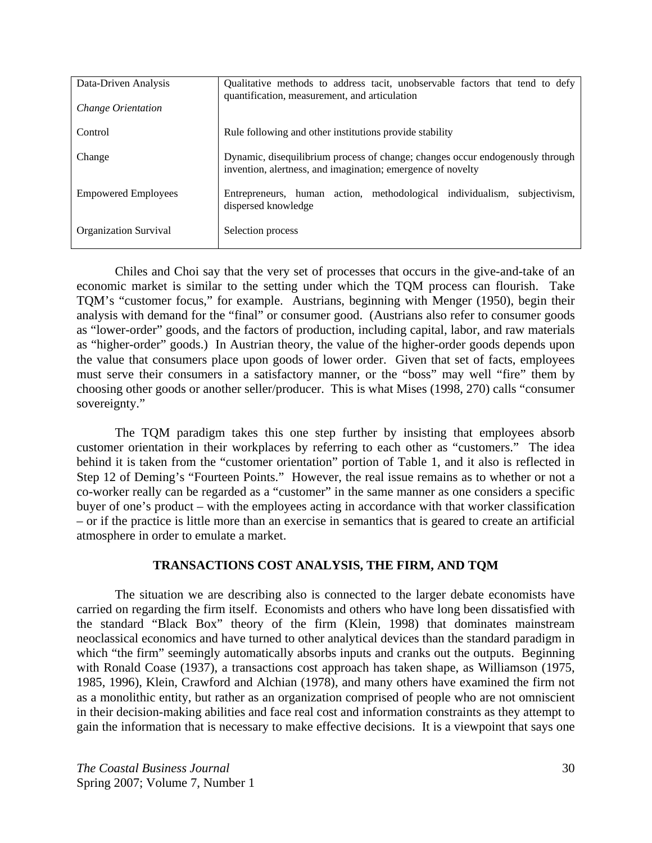| Data-Driven Analysis<br>Change Orientation | Qualitative methods to address tacit, unobservable factors that tend to defy<br>quantification, measurement, and articulation                |
|--------------------------------------------|----------------------------------------------------------------------------------------------------------------------------------------------|
| Control                                    | Rule following and other institutions provide stability                                                                                      |
| Change                                     | Dynamic, disequilibrium process of change; changes occur endogenously through<br>invention, alertness, and imagination; emergence of novelty |
| <b>Empowered Employees</b>                 | Entrepreneurs, human action, methodological individualism,<br>subjectivism.<br>dispersed knowledge                                           |
| <b>Organization Survival</b>               | Selection process                                                                                                                            |

 Chiles and Choi say that the very set of processes that occurs in the give-and-take of an economic market is similar to the setting under which the TQM process can flourish. Take TQM's "customer focus," for example. Austrians, beginning with Menger (1950), begin their analysis with demand for the "final" or consumer good. (Austrians also refer to consumer goods as "lower-order" goods, and the factors of production, including capital, labor, and raw materials as "higher-order" goods.) In Austrian theory, the value of the higher-order goods depends upon the value that consumers place upon goods of lower order. Given that set of facts, employees must serve their consumers in a satisfactory manner, or the "boss" may well "fire" them by choosing other goods or another seller/producer. This is what Mises (1998, 270) calls "consumer sovereignty."

 The TQM paradigm takes this one step further by insisting that employees absorb customer orientation in their workplaces by referring to each other as "customers." The idea behind it is taken from the "customer orientation" portion of Table 1, and it also is reflected in Step 12 of Deming's "Fourteen Points." However, the real issue remains as to whether or not a co-worker really can be regarded as a "customer" in the same manner as one considers a specific buyer of one's product – with the employees acting in accordance with that worker classification – or if the practice is little more than an exercise in semantics that is geared to create an artificial atmosphere in order to emulate a market.

## **TRANSACTIONS COST ANALYSIS, THE FIRM, AND TQM**

 The situation we are describing also is connected to the larger debate economists have carried on regarding the firm itself. Economists and others who have long been dissatisfied with the standard "Black Box" theory of the firm (Klein, 1998) that dominates mainstream neoclassical economics and have turned to other analytical devices than the standard paradigm in which "the firm" seemingly automatically absorbs inputs and cranks out the outputs. Beginning with Ronald Coase (1937), a transactions cost approach has taken shape, as Williamson (1975, 1985, 1996), Klein, Crawford and Alchian (1978), and many others have examined the firm not as a monolithic entity, but rather as an organization comprised of people who are not omniscient in their decision-making abilities and face real cost and information constraints as they attempt to gain the information that is necessary to make effective decisions. It is a viewpoint that says one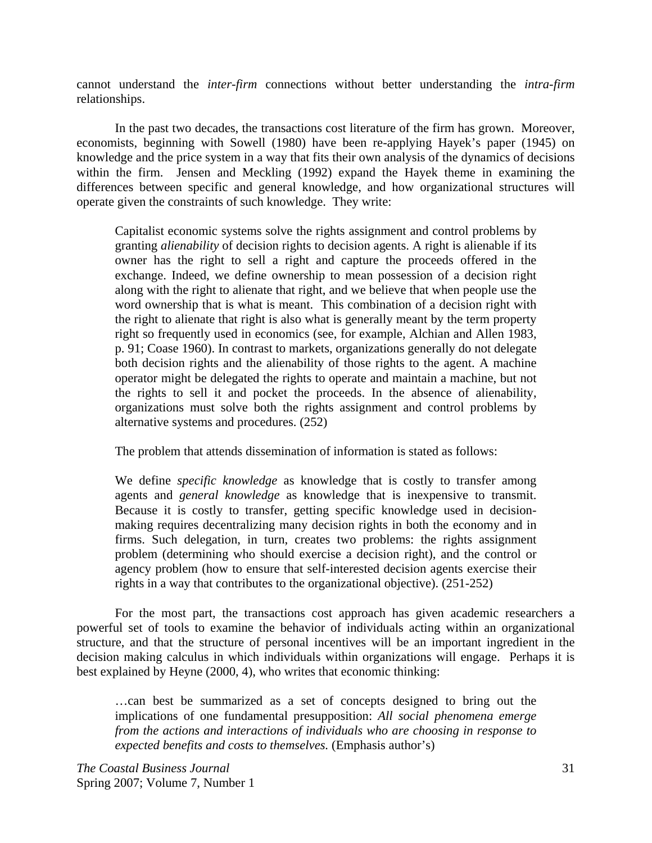cannot understand the *inter-firm* connections without better understanding the *intra-firm* relationships.

In the past two decades, the transactions cost literature of the firm has grown. Moreover, economists, beginning with Sowell (1980) have been re-applying Hayek's paper (1945) on knowledge and the price system in a way that fits their own analysis of the dynamics of decisions within the firm. Jensen and Meckling (1992) expand the Hayek theme in examining the differences between specific and general knowledge, and how organizational structures will operate given the constraints of such knowledge. They write:

Capitalist economic systems solve the rights assignment and control problems by granting *alienability* of decision rights to decision agents. A right is alienable if its owner has the right to sell a right and capture the proceeds offered in the exchange. Indeed, we define ownership to mean possession of a decision right along with the right to alienate that right, and we believe that when people use the word ownership that is what is meant. This combination of a decision right with the right to alienate that right is also what is generally meant by the term property right so frequently used in economics (see, for example, Alchian and Allen 1983, p. 91; Coase 1960). In contrast to markets, organizations generally do not delegate both decision rights and the alienability of those rights to the agent. A machine operator might be delegated the rights to operate and maintain a machine, but not the rights to sell it and pocket the proceeds. In the absence of alienability, organizations must solve both the rights assignment and control problems by alternative systems and procedures. (252)

The problem that attends dissemination of information is stated as follows:

We define *specific knowledge* as knowledge that is costly to transfer among agents and *general knowledge* as knowledge that is inexpensive to transmit. Because it is costly to transfer, getting specific knowledge used in decisionmaking requires decentralizing many decision rights in both the economy and in firms. Such delegation, in turn, creates two problems: the rights assignment problem (determining who should exercise a decision right), and the control or agency problem (how to ensure that self-interested decision agents exercise their rights in a way that contributes to the organizational objective). (251-252)

For the most part, the transactions cost approach has given academic researchers a powerful set of tools to examine the behavior of individuals acting within an organizational structure, and that the structure of personal incentives will be an important ingredient in the decision making calculus in which individuals within organizations will engage. Perhaps it is best explained by Heyne (2000, 4), who writes that economic thinking:

…can best be summarized as a set of concepts designed to bring out the implications of one fundamental presupposition: *All social phenomena emerge from the actions and interactions of individuals who are choosing in response to expected benefits and costs to themselves.* (Emphasis author's)

*The Coastal Business Journal* 31 Spring 2007; Volume 7, Number 1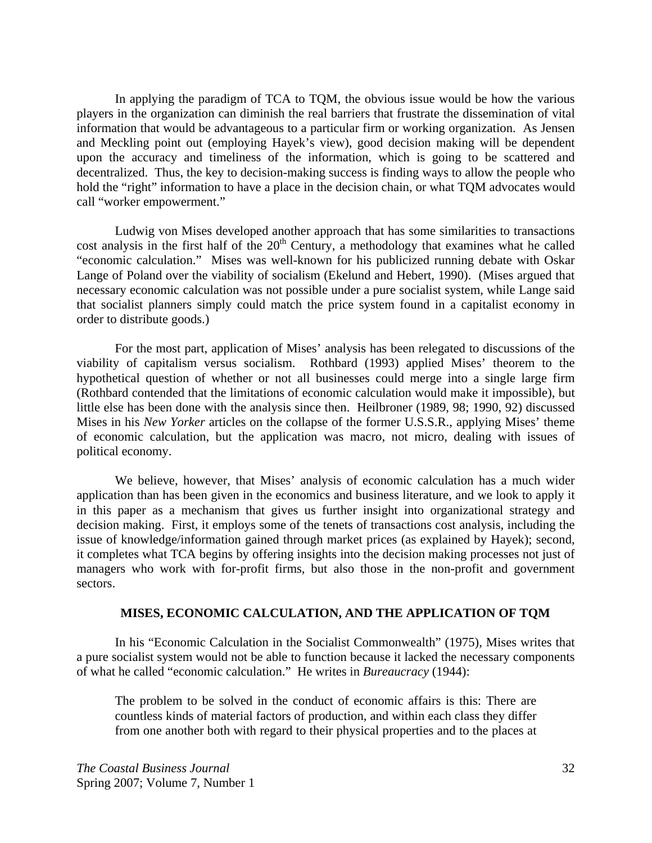In applying the paradigm of TCA to TQM, the obvious issue would be how the various players in the organization can diminish the real barriers that frustrate the dissemination of vital information that would be advantageous to a particular firm or working organization. As Jensen and Meckling point out (employing Hayek's view), good decision making will be dependent upon the accuracy and timeliness of the information, which is going to be scattered and decentralized. Thus, the key to decision-making success is finding ways to allow the people who hold the "right" information to have a place in the decision chain, or what TQM advocates would call "worker empowerment."

Ludwig von Mises developed another approach that has some similarities to transactions cost analysis in the first half of the  $20<sup>th</sup>$  Century, a methodology that examines what he called "economic calculation." Mises was well-known for his publicized running debate with Oskar Lange of Poland over the viability of socialism (Ekelund and Hebert, 1990). (Mises argued that necessary economic calculation was not possible under a pure socialist system, while Lange said that socialist planners simply could match the price system found in a capitalist economy in order to distribute goods.)

For the most part, application of Mises' analysis has been relegated to discussions of the viability of capitalism versus socialism. Rothbard (1993) applied Mises' theorem to the hypothetical question of whether or not all businesses could merge into a single large firm (Rothbard contended that the limitations of economic calculation would make it impossible), but little else has been done with the analysis since then. Heilbroner (1989, 98; 1990, 92) discussed Mises in his *New Yorker* articles on the collapse of the former U.S.S.R., applying Mises' theme of economic calculation, but the application was macro, not micro, dealing with issues of political economy.

We believe, however, that Mises' analysis of economic calculation has a much wider application than has been given in the economics and business literature, and we look to apply it in this paper as a mechanism that gives us further insight into organizational strategy and decision making. First, it employs some of the tenets of transactions cost analysis, including the issue of knowledge/information gained through market prices (as explained by Hayek); second, it completes what TCA begins by offering insights into the decision making processes not just of managers who work with for-profit firms, but also those in the non-profit and government sectors.

#### **MISES, ECONOMIC CALCULATION, AND THE APPLICATION OF TQM**

 In his "Economic Calculation in the Socialist Commonwealth" (1975), Mises writes that a pure socialist system would not be able to function because it lacked the necessary components of what he called "economic calculation." He writes in *Bureaucracy* (1944):

The problem to be solved in the conduct of economic affairs is this: There are countless kinds of material factors of production, and within each class they differ from one another both with regard to their physical properties and to the places at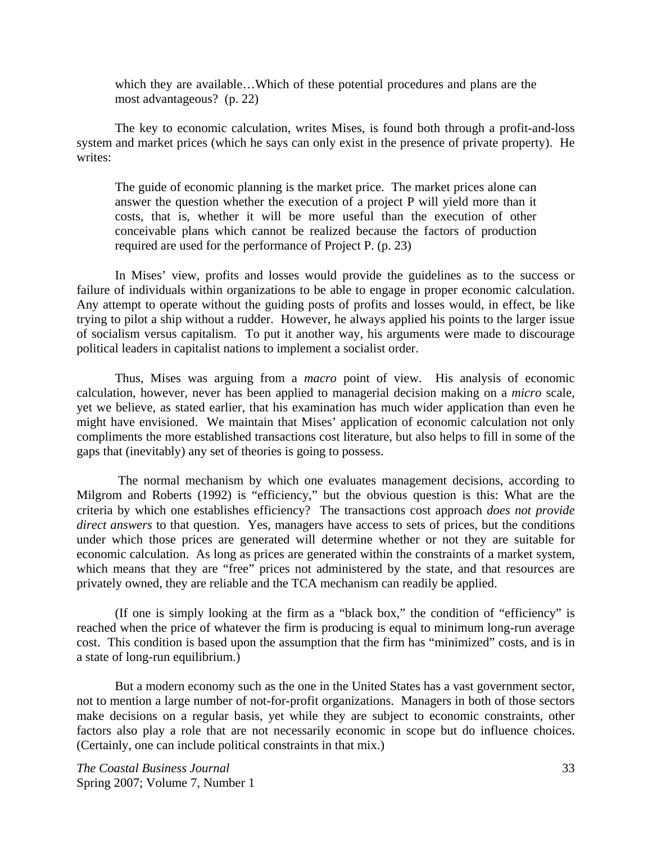which they are available…Which of these potential procedures and plans are the most advantageous? (p. 22)

 The key to economic calculation, writes Mises, is found both through a profit-and-loss system and market prices (which he says can only exist in the presence of private property). He writes:

The guide of economic planning is the market price. The market prices alone can answer the question whether the execution of a project P will yield more than it costs, that is, whether it will be more useful than the execution of other conceivable plans which cannot be realized because the factors of production required are used for the performance of Project P. (p. 23)

 In Mises' view, profits and losses would provide the guidelines as to the success or failure of individuals within organizations to be able to engage in proper economic calculation. Any attempt to operate without the guiding posts of profits and losses would, in effect, be like trying to pilot a ship without a rudder. However, he always applied his points to the larger issue of socialism versus capitalism. To put it another way, his arguments were made to discourage political leaders in capitalist nations to implement a socialist order.

Thus, Mises was arguing from a *macro* point of view. His analysis of economic calculation, however, never has been applied to managerial decision making on a *micro* scale, yet we believe, as stated earlier, that his examination has much wider application than even he might have envisioned. We maintain that Mises' application of economic calculation not only compliments the more established transactions cost literature, but also helps to fill in some of the gaps that (inevitably) any set of theories is going to possess.

 The normal mechanism by which one evaluates management decisions, according to Milgrom and Roberts (1992) is "efficiency," but the obvious question is this: What are the criteria by which one establishes efficiency? The transactions cost approach *does not provide direct answers* to that question. Yes, managers have access to sets of prices, but the conditions under which those prices are generated will determine whether or not they are suitable for economic calculation. As long as prices are generated within the constraints of a market system, which means that they are "free" prices not administered by the state, and that resources are privately owned, they are reliable and the TCA mechanism can readily be applied.

 (If one is simply looking at the firm as a "black box," the condition of "efficiency" is reached when the price of whatever the firm is producing is equal to minimum long-run average cost. This condition is based upon the assumption that the firm has "minimized" costs, and is in a state of long-run equilibrium.)

 But a modern economy such as the one in the United States has a vast government sector, not to mention a large number of not-for-profit organizations. Managers in both of those sectors make decisions on a regular basis, yet while they are subject to economic constraints, other factors also play a role that are not necessarily economic in scope but do influence choices. (Certainly, one can include political constraints in that mix.)

*The Coastal Business Journal* 33 Spring 2007; Volume 7, Number 1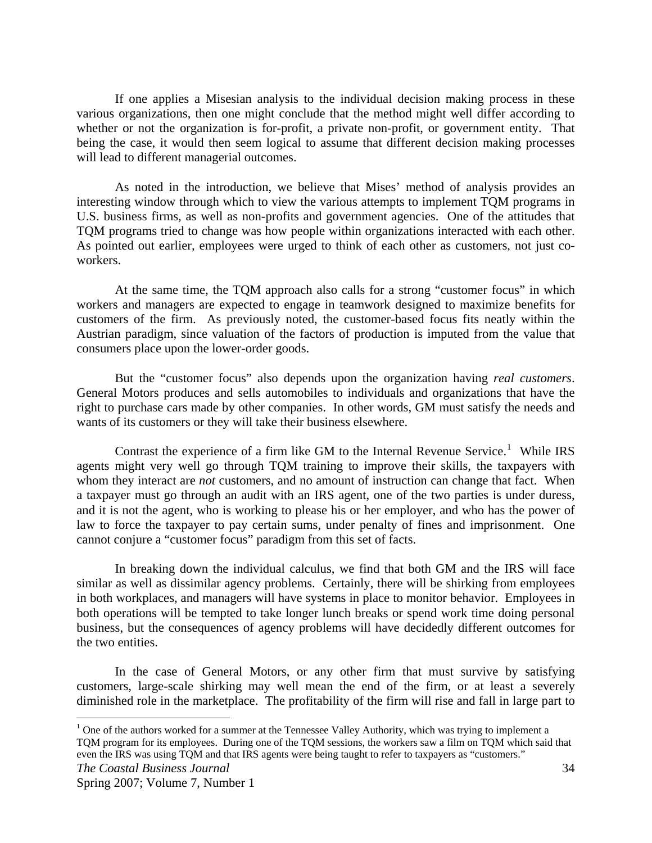If one applies a Misesian analysis to the individual decision making process in these various organizations, then one might conclude that the method might well differ according to whether or not the organization is for-profit, a private non-profit, or government entity. That being the case, it would then seem logical to assume that different decision making processes will lead to different managerial outcomes.

 As noted in the introduction, we believe that Mises' method of analysis provides an interesting window through which to view the various attempts to implement TQM programs in U.S. business firms, as well as non-profits and government agencies. One of the attitudes that TQM programs tried to change was how people within organizations interacted with each other. As pointed out earlier, employees were urged to think of each other as customers, not just coworkers.

 At the same time, the TQM approach also calls for a strong "customer focus" in which workers and managers are expected to engage in teamwork designed to maximize benefits for customers of the firm. As previously noted, the customer-based focus fits neatly within the Austrian paradigm, since valuation of the factors of production is imputed from the value that consumers place upon the lower-order goods.

 But the "customer focus" also depends upon the organization having *real customers*. General Motors produces and sells automobiles to individuals and organizations that have the right to purchase cars made by other companies. In other words, GM must satisfy the needs and wants of its customers or they will take their business elsewhere.

Contrast the experience of a firm like GM to the Internal Revenue Service.<sup>[1](#page-10-0)</sup> While IRS agents might very well go through TQM training to improve their skills, the taxpayers with whom they interact are *not* customers, and no amount of instruction can change that fact. When a taxpayer must go through an audit with an IRS agent, one of the two parties is under duress, and it is not the agent, who is working to please his or her employer, and who has the power of law to force the taxpayer to pay certain sums, under penalty of fines and imprisonment. One cannot conjure a "customer focus" paradigm from this set of facts.

 In breaking down the individual calculus, we find that both GM and the IRS will face similar as well as dissimilar agency problems. Certainly, there will be shirking from employees in both workplaces, and managers will have systems in place to monitor behavior. Employees in both operations will be tempted to take longer lunch breaks or spend work time doing personal business, but the consequences of agency problems will have decidedly different outcomes for the two entities.

 In the case of General Motors, or any other firm that must survive by satisfying customers, large-scale shirking may well mean the end of the firm, or at least a severely diminished role in the marketplace. The profitability of the firm will rise and fall in large part to

 $\overline{a}$ 

<span id="page-10-0"></span> $1$  One of the authors worked for a summer at the Tennessee Valley Authority, which was trying to implement a TQM program for its employees. During one of the TQM sessions, the workers saw a film on TQM which said that even the IRS was using TQM and that IRS agents were being taught to refer to taxpayers as "customers."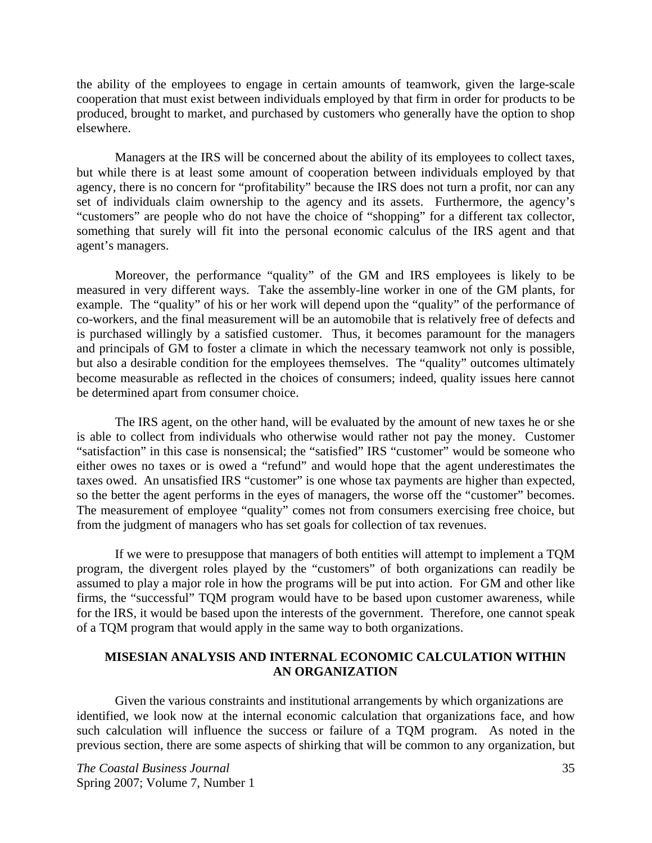the ability of the employees to engage in certain amounts of teamwork, given the large-scale cooperation that must exist between individuals employed by that firm in order for products to be produced, brought to market, and purchased by customers who generally have the option to shop elsewhere.

 Managers at the IRS will be concerned about the ability of its employees to collect taxes, but while there is at least some amount of cooperation between individuals employed by that agency, there is no concern for "profitability" because the IRS does not turn a profit, nor can any set of individuals claim ownership to the agency and its assets. Furthermore, the agency's "customers" are people who do not have the choice of "shopping" for a different tax collector, something that surely will fit into the personal economic calculus of the IRS agent and that agent's managers.

 Moreover, the performance "quality" of the GM and IRS employees is likely to be measured in very different ways. Take the assembly-line worker in one of the GM plants, for example. The "quality" of his or her work will depend upon the "quality" of the performance of co-workers, and the final measurement will be an automobile that is relatively free of defects and is purchased willingly by a satisfied customer. Thus, it becomes paramount for the managers and principals of GM to foster a climate in which the necessary teamwork not only is possible, but also a desirable condition for the employees themselves. The "quality" outcomes ultimately become measurable as reflected in the choices of consumers; indeed, quality issues here cannot be determined apart from consumer choice.

 The IRS agent, on the other hand, will be evaluated by the amount of new taxes he or she is able to collect from individuals who otherwise would rather not pay the money. Customer "satisfaction" in this case is nonsensical; the "satisfied" IRS "customer" would be someone who either owes no taxes or is owed a "refund" and would hope that the agent underestimates the taxes owed. An unsatisfied IRS "customer" is one whose tax payments are higher than expected, so the better the agent performs in the eyes of managers, the worse off the "customer" becomes. The measurement of employee "quality" comes not from consumers exercising free choice, but from the judgment of managers who has set goals for collection of tax revenues.

 If we were to presuppose that managers of both entities will attempt to implement a TQM program, the divergent roles played by the "customers" of both organizations can readily be assumed to play a major role in how the programs will be put into action. For GM and other like firms, the "successful" TQM program would have to be based upon customer awareness, while for the IRS, it would be based upon the interests of the government. Therefore, one cannot speak of a TQM program that would apply in the same way to both organizations.

## **MISESIAN ANALYSIS AND INTERNAL ECONOMIC CALCULATION WITHIN AN ORGANIZATION**

Given the various constraints and institutional arrangements by which organizations are identified, we look now at the internal economic calculation that organizations face, and how such calculation will influence the success or failure of a TQM program. As noted in the previous section, there are some aspects of shirking that will be common to any organization, but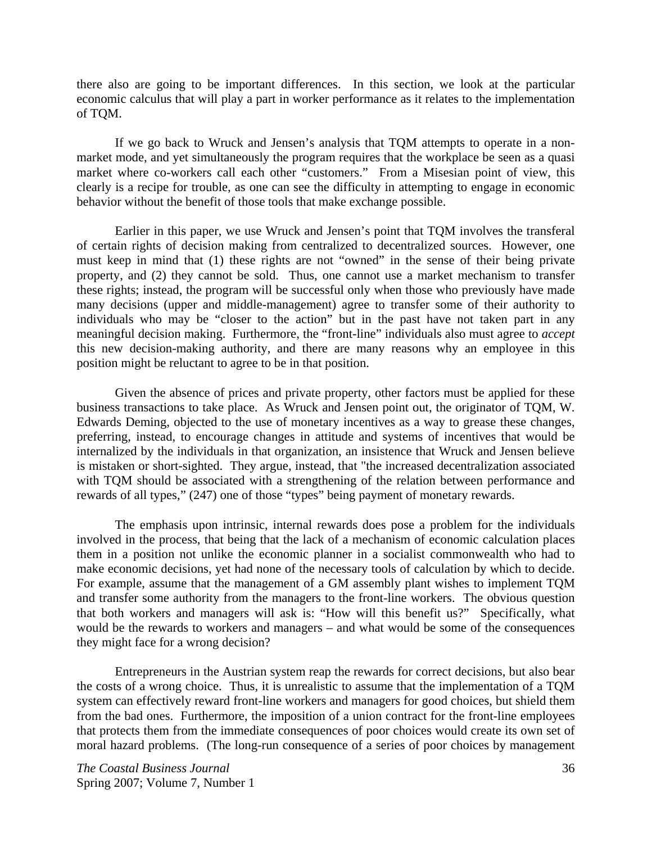there also are going to be important differences. In this section, we look at the particular economic calculus that will play a part in worker performance as it relates to the implementation of TQM.

 If we go back to Wruck and Jensen's analysis that TQM attempts to operate in a nonmarket mode, and yet simultaneously the program requires that the workplace be seen as a quasi market where co-workers call each other "customers." From a Misesian point of view, this clearly is a recipe for trouble, as one can see the difficulty in attempting to engage in economic behavior without the benefit of those tools that make exchange possible.

 Earlier in this paper, we use Wruck and Jensen's point that TQM involves the transferal of certain rights of decision making from centralized to decentralized sources. However, one must keep in mind that (1) these rights are not "owned" in the sense of their being private property, and (2) they cannot be sold. Thus, one cannot use a market mechanism to transfer these rights; instead, the program will be successful only when those who previously have made many decisions (upper and middle-management) agree to transfer some of their authority to individuals who may be "closer to the action" but in the past have not taken part in any meaningful decision making. Furthermore, the "front-line" individuals also must agree to *accept* this new decision-making authority, and there are many reasons why an employee in this position might be reluctant to agree to be in that position.

 Given the absence of prices and private property, other factors must be applied for these business transactions to take place. As Wruck and Jensen point out, the originator of TQM, W. Edwards Deming, objected to the use of monetary incentives as a way to grease these changes, preferring, instead, to encourage changes in attitude and systems of incentives that would be internalized by the individuals in that organization, an insistence that Wruck and Jensen believe is mistaken or short-sighted. They argue, instead, that "the increased decentralization associated with TQM should be associated with a strengthening of the relation between performance and rewards of all types," (247) one of those "types" being payment of monetary rewards.

 The emphasis upon intrinsic, internal rewards does pose a problem for the individuals involved in the process, that being that the lack of a mechanism of economic calculation places them in a position not unlike the economic planner in a socialist commonwealth who had to make economic decisions, yet had none of the necessary tools of calculation by which to decide. For example, assume that the management of a GM assembly plant wishes to implement TQM and transfer some authority from the managers to the front-line workers. The obvious question that both workers and managers will ask is: "How will this benefit us?" Specifically, what would be the rewards to workers and managers – and what would be some of the consequences they might face for a wrong decision?

 Entrepreneurs in the Austrian system reap the rewards for correct decisions, but also bear the costs of a wrong choice. Thus, it is unrealistic to assume that the implementation of a TQM system can effectively reward front-line workers and managers for good choices, but shield them from the bad ones. Furthermore, the imposition of a union contract for the front-line employees that protects them from the immediate consequences of poor choices would create its own set of moral hazard problems. (The long-run consequence of a series of poor choices by management

*The Coastal Business Journal* 36 Spring 2007; Volume 7, Number 1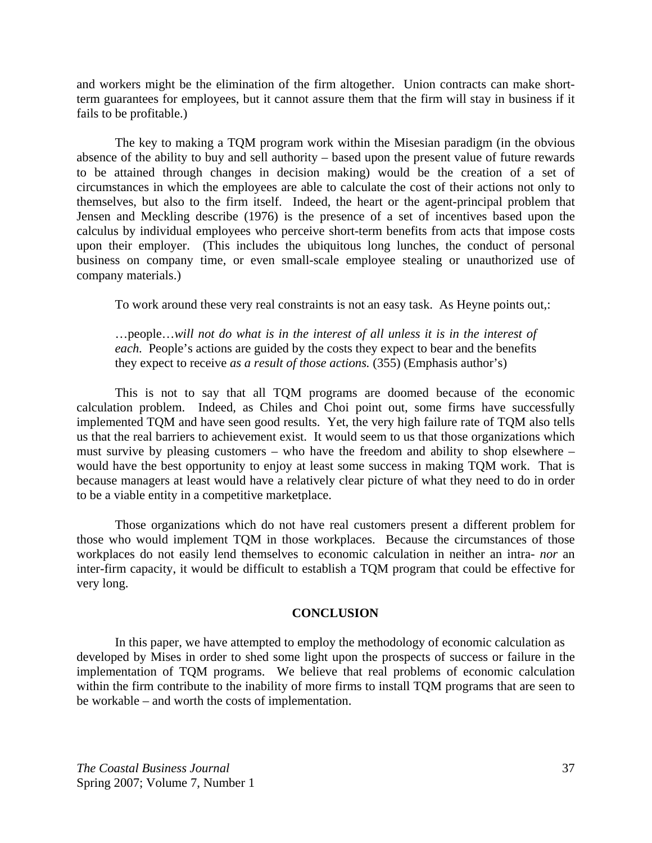and workers might be the elimination of the firm altogether. Union contracts can make shortterm guarantees for employees, but it cannot assure them that the firm will stay in business if it fails to be profitable.)

 The key to making a TQM program work within the Misesian paradigm (in the obvious absence of the ability to buy and sell authority – based upon the present value of future rewards to be attained through changes in decision making) would be the creation of a set of circumstances in which the employees are able to calculate the cost of their actions not only to themselves, but also to the firm itself. Indeed, the heart or the agent-principal problem that Jensen and Meckling describe (1976) is the presence of a set of incentives based upon the calculus by individual employees who perceive short-term benefits from acts that impose costs upon their employer. (This includes the ubiquitous long lunches, the conduct of personal business on company time, or even small-scale employee stealing or unauthorized use of company materials.)

To work around these very real constraints is not an easy task. As Heyne points out,:

…people…*will not do what is in the interest of all unless it is in the interest of each.* People's actions are guided by the costs they expect to bear and the benefits they expect to receive *as a result of those actions.* (355) (Emphasis author's)

 This is not to say that all TQM programs are doomed because of the economic calculation problem. Indeed, as Chiles and Choi point out, some firms have successfully implemented TQM and have seen good results. Yet, the very high failure rate of TQM also tells us that the real barriers to achievement exist. It would seem to us that those organizations which must survive by pleasing customers – who have the freedom and ability to shop elsewhere – would have the best opportunity to enjoy at least some success in making TQM work. That is because managers at least would have a relatively clear picture of what they need to do in order to be a viable entity in a competitive marketplace.

 Those organizations which do not have real customers present a different problem for those who would implement TQM in those workplaces. Because the circumstances of those workplaces do not easily lend themselves to economic calculation in neither an intra- *nor* an inter-firm capacity, it would be difficult to establish a TQM program that could be effective for very long.

## **CONCLUSION**

In this paper, we have attempted to employ the methodology of economic calculation as developed by Mises in order to shed some light upon the prospects of success or failure in the implementation of TQM programs. We believe that real problems of economic calculation within the firm contribute to the inability of more firms to install TQM programs that are seen to be workable – and worth the costs of implementation.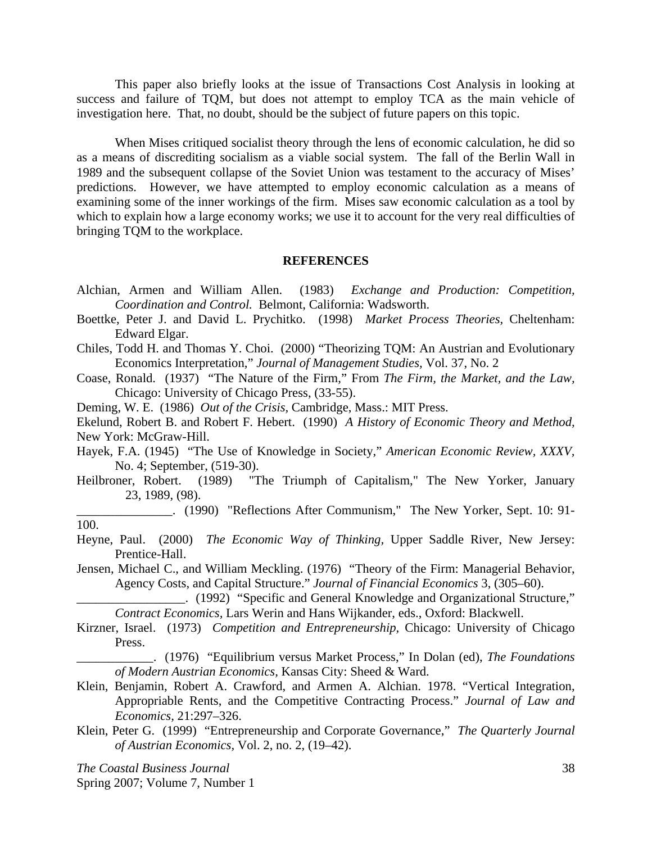This paper also briefly looks at the issue of Transactions Cost Analysis in looking at success and failure of TQM, but does not attempt to employ TCA as the main vehicle of investigation here. That, no doubt, should be the subject of future papers on this topic.

 When Mises critiqued socialist theory through the lens of economic calculation, he did so as a means of discrediting socialism as a viable social system. The fall of the Berlin Wall in 1989 and the subsequent collapse of the Soviet Union was testament to the accuracy of Mises' predictions. However, we have attempted to employ economic calculation as a means of examining some of the inner workings of the firm. Mises saw economic calculation as a tool by which to explain how a large economy works; we use it to account for the very real difficulties of bringing TQM to the workplace.

#### **REFERENCES**

- Alchian, Armen and William Allen. (1983) *Exchange and Production: Competition, Coordination and Control.* Belmont, California: Wadsworth.
- Boettke, Peter J. and David L. Prychitko. (1998) *Market Process Theories,* Cheltenham: Edward Elgar.
- Chiles, Todd H. and Thomas Y. Choi. (2000) "Theorizing TQM: An Austrian and Evolutionary Economics Interpretation," *Journal of Management Studies,* Vol. 37, No. 2
- Coase, Ronald. (1937) "The Nature of the Firm," From *The Firm, the Market, and the Law,*  Chicago: University of Chicago Press, (33-55).

Deming, W. E. (1986) *Out of the Crisis,* Cambridge, Mass.: MIT Press.

Ekelund, Robert B. and Robert F. Hebert. (1990) *A History of Economic Theory and Method,*  New York: McGraw-Hill.

- Hayek, F.A. (1945) "The Use of Knowledge in Society," *American Economic Review, XXXV,*  No. 4; September, (519-30).
- Heilbroner, Robert. (1989) "The Triumph of Capitalism," The New Yorker, January 23, 1989, (98).

\_\_\_\_\_\_\_\_\_\_\_\_\_\_\_. (1990) "Reflections After Communism," The New Yorker, Sept. 10: 91- 100.

Heyne, Paul. (2000) *The Economic Way of Thinking,* Upper Saddle River, New Jersey: Prentice-Hall.

Jensen, Michael C., and William Meckling. (1976) "Theory of the Firm: Managerial Behavior, Agency Costs, and Capital Structure." *Journal of Financial Economics* 3, (305–60).

\_\_\_\_\_\_\_\_\_\_\_\_\_\_\_\_\_. (1992) "Specific and General Knowledge and Organizational Structure," *Contract Economics,* Lars Werin and Hans Wijkander, eds., Oxford: Blackwell.

- Kirzner, Israel. (1973) *Competition and Entrepreneurship,* Chicago: University of Chicago Press.
	- \_\_\_\_\_\_\_\_\_\_\_\_. (1976) "Equilibrium versus Market Process," In Dolan (ed), *The Foundations of Modern Austrian Economics,* Kansas City: Sheed & Ward.
- Klein, Benjamin, Robert A. Crawford, and Armen A. Alchian. 1978. "Vertical Integration, Appropriable Rents, and the Competitive Contracting Process." *Journal of Law and Economics,* 21:297–326.
- Klein, Peter G. (1999) "Entrepreneurship and Corporate Governance," *The Quarterly Journal of Austrian Economics,* Vol. 2, no. 2, (19–42).

*The Coastal Business Journal* 38

Spring 2007; Volume 7, Number 1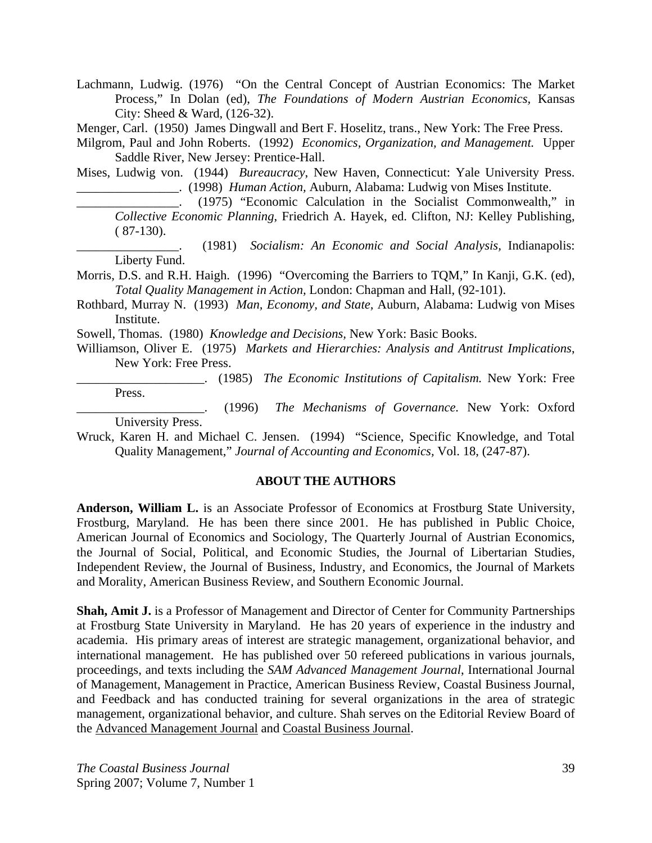Lachmann, Ludwig. (1976) "On the Central Concept of Austrian Economics: The Market Process," In Dolan (ed), *The Foundations of Modern Austrian Economics,* Kansas City: Sheed & Ward, (126-32).

Menger, Carl. (1950) James Dingwall and Bert F. Hoselitz, trans., New York: The Free Press.

Milgrom, Paul and John Roberts. (1992) *Economics, Organization, and Management.* Upper Saddle River, New Jersey: Prentice-Hall.

Mises, Ludwig von. (1944) *Bureaucracy*, New Haven, Connecticut: Yale University Press. \_\_\_\_\_\_\_\_\_\_\_\_\_\_\_\_. (1998) *Human Action,* Auburn, Alabama: Ludwig von Mises Institute.

\_\_\_\_\_\_\_\_\_\_\_\_\_\_\_\_. (1975) "Economic Calculation in the Socialist Commonwealth," in *Collective Economic Planning*, Friedrich A. Hayek, ed. Clifton, NJ: Kelley Publishing,  $(87-130).$ 

\_\_\_\_\_\_\_\_\_\_\_\_\_\_\_\_. (1981) *Socialism: An Economic and Social Analysis,* Indianapolis: Liberty Fund.

Morris, D.S. and R.H. Haigh. (1996) "Overcoming the Barriers to TQM," In Kanji, G.K. (ed), *Total Quality Management in Action,* London: Chapman and Hall, (92-101).

Rothbard, Murray N. (1993) *Man, Economy, and State,* Auburn, Alabama: Ludwig von Mises Institute.

Sowell, Thomas. (1980) *Knowledge and Decisions,* New York: Basic Books.

Williamson, Oliver E. (1975) *Markets and Hierarchies: Analysis and Antitrust Implications*, New York: Free Press.

\_\_\_\_\_\_\_\_\_\_\_\_\_\_\_\_\_\_\_\_. (1985) *The Economic Institutions of Capitalism.* New York: Free Press.

\_\_\_\_\_\_\_\_\_\_\_\_\_\_\_\_\_\_\_\_. (1996) *The Mechanisms of Governance.* New York: Oxford University Press.

Wruck, Karen H. and Michael C. Jensen. (1994) "Science, Specific Knowledge, and Total Quality Management," *Journal of Accounting and Economics,* Vol. 18, (247-87).

## **ABOUT THE AUTHORS**

**Anderson, William L.** is an Associate Professor of Economics at Frostburg State University, Frostburg, Maryland. He has been there since 2001. He has published in Public Choice, American Journal of Economics and Sociology, The Quarterly Journal of Austrian Economics, the Journal of Social, Political, and Economic Studies, the Journal of Libertarian Studies, Independent Review, the Journal of Business, Industry, and Economics, the Journal of Markets and Morality, American Business Review, and Southern Economic Journal.

**Shah, Amit J.** is a Professor of Management and Director of Center for Community Partnerships at Frostburg State University in Maryland. He has 20 years of experience in the industry and academia. His primary areas of interest are strategic management, organizational behavior, and international management. He has published over 50 refereed publications in various journals, proceedings, and texts including the *SAM Advanced Management Journal*, International Journal of Management, Management in Practice, American Business Review, Coastal Business Journal, and Feedback and has conducted training for several organizations in the area of strategic management, organizational behavior, and culture. Shah serves on the Editorial Review Board of the Advanced Management Journal and Coastal Business Journal.